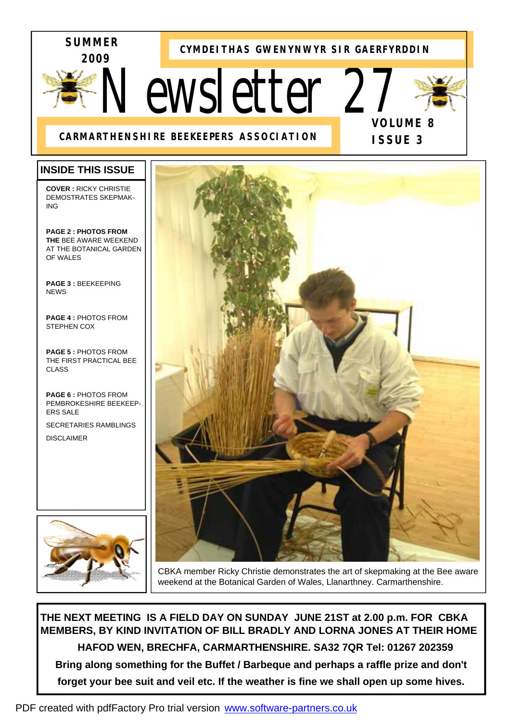

**CYMDEITHAS GWENYNWYR SIR GAERFYRDDIN**

# *Newsletter 27*



**ISSUE 3** 

# **CARMARTHENSHIRE BEEKEEPERS ASSOCIATION**

I

# **INSIDE THIS ISSUE**

**COVER :** RICKY CHRISTIE DEMOSTRATES SKEPMAK-ING

**PAGE 2 : PHOTOS FROM THE** BEE AWARE WEEKEND AT THE BOTANICAL GARDEN OF WALES

**PAGE 3 :** BEEKEEPING **NEWS** 

**PAGE 4 :** PHOTOS FROM STEPHEN COX

**PAGE 5 :** PHOTOS FROM THE FIRST PRACTICAL BEE CLASS

**PAGE 6 :** PHOTOS FROM PEMBROKESHIRE BEEKEEP-ERS SALE SECRETARIES RAMBLINGS

DISCLAIMER





CBKA member Ricky Christie demonstrates the art of skepmaking at the Bee aware weekend at the Botanical Garden of Wales, Llanarthney. Carmarthenshire.

**THE NEXT MEETING IS A FIELD DAY ON SUNDAY JUNE 21ST at 2.00 p.m. FOR CBKA MEMBERS, BY KIND INVITATION OF BILL BRADLY AND LORNA JONES AT THEIR HOME HAFOD WEN, BRECHFA, CARMARTHENSHIRE. SA32 7QR Tel: 01267 202359 Bring along something for the Buffet / Barbeque and perhaps a raffle prize and don't forget your bee suit and veil etc. If the weather is fine we shall open up some hives.**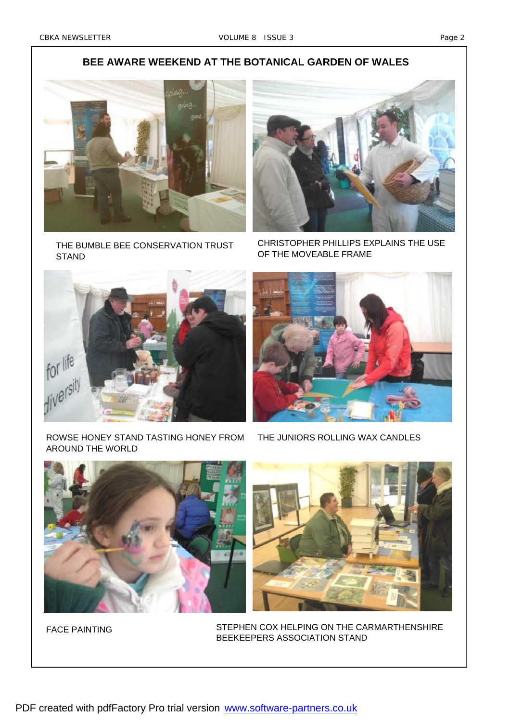# **BEE AWARE WEEKEND AT THE BOTANICAL GARDEN OF WALES**



THE BUMBLE BEE CONSERVATION TRUST **STAND** 



CHRISTOPHER PHILLIPS EXPLAINS THE USE OF THE MOVEABLE FRAME



ROWSE HONEY STAND TASTING HONEY FROM AROUND THE WORLD



THE JUNIORS ROLLING WAX CANDLES



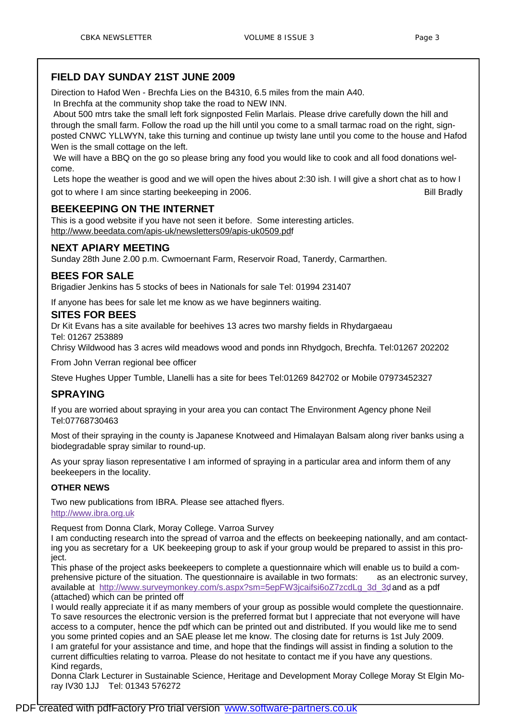Direction to Hafod Wen - Brechfa Lies on the B4310, 6.5 miles from the main A40.

In Brechfa at the community shop take the road to NEW INN.

 About 500 mtrs take the small left fork signposted Felin Marlais. Please drive carefully down the hill and through the small farm. Follow the road up the hill until you come to a small tarmac road on the right, signposted CNWC YLLWYN, take this turning and continue up twisty lane until you come to the house and Hafod Wen is the small cottage on the left.

 We will have a BBQ on the go so please bring any food you would like to cook and all food donations welcome.

 Lets hope the weather is good and we will open the hives about 2:30 ish. I will give a short chat as to how I got to where I am since starting beekeeping in 2006. The same starting beek and the starting beekeeping in 2006.

#### **BEEKEEPING ON THE INTERNET**

This is a good website if you have not seen it before. Some interesting articles. <http://www.beedata.com/apis-uk/newsletters09/apis-uk0509.pdf>

# **NEXT APIARY MEETING**

Sunday 28th June 2.00 p.m. Cwmoernant Farm, Reservoir Road, Tanerdy, Carmarthen.

# **BEES FOR SALE**

Brigadier Jenkins has 5 stocks of bees in Nationals for sale Tel: 01994 231407

If anyone has bees for sale let me know as we have beginners waiting.

#### **SITES FOR BEES**

Dr Kit Evans has a site available for beehives 13 acres two marshy fields in Rhydargaeau Tel: 01267 253889

Chrisy Wildwood has 3 acres wild meadows wood and ponds inn Rhydgoch, Brechfa. Tel:01267 202202

From John Verran regional bee officer

Steve Hughes Upper Tumble, Llanelli has a site for bees Tel:01269 842702 or Mobile 07973452327

# **SPRAYING**

If you are worried about spraying in your area you can contact The Environment Agency phone Neil Tel:07768730463

Most of their spraying in the county is Japanese Knotweed and Himalayan Balsam along river banks using a biodegradable spray similar to round-up.

As your spray liason representative I am informed of spraying in a particular area and inform them of any beekeepers in the locality.

#### **OTHER NEWS**

Two new publications from IBRA. Please see attached flyers. <http://www.ibra.org.uk>

Request from Donna Clark, Moray College. Varroa Survey

I am conducting research into the spread of varroa and the effects on beekeeping nationally, and am contacting you as secretary for a UK beekeeping group to ask if your group would be prepared to assist in this project.

This phase of the project asks beekeepers to complete a questionnaire which will enable us to build a comprehensive picture of the situation. The questionnaire is available in two formats: as an electronic survey, available at [http://www.surveymonkey.com/s.aspx?sm=5epFW3jcaifsi6oZ7zcdLg\\_3d\\_3d,](http://www.surveymonkey.com/s.aspx?sm=5epFW3jcaifsi6oZ7zcdLg_3d_3d) and as a pdf (attached) which can be printed off

I would really appreciate it if as many members of your group as possible would complete the questionnaire. To save resources the electronic version is the preferred format but I appreciate that not everyone will have access to a computer, hence the pdf which can be printed out and distributed. If you would like me to send you some printed copies and an SAE please let me know. The closing date for returns is 1st July 2009. I am grateful for your assistance and time, and hope that the findings will assist in finding a solution to the current difficulties relating to varroa. Please do not hesitate to contact me if you have any questions. Kind regards,

Donna Clark Lecturer in Sustainable Science, Heritage and Development Moray College Moray St Elgin Moray IV30 1JJ Tel: 01343 576272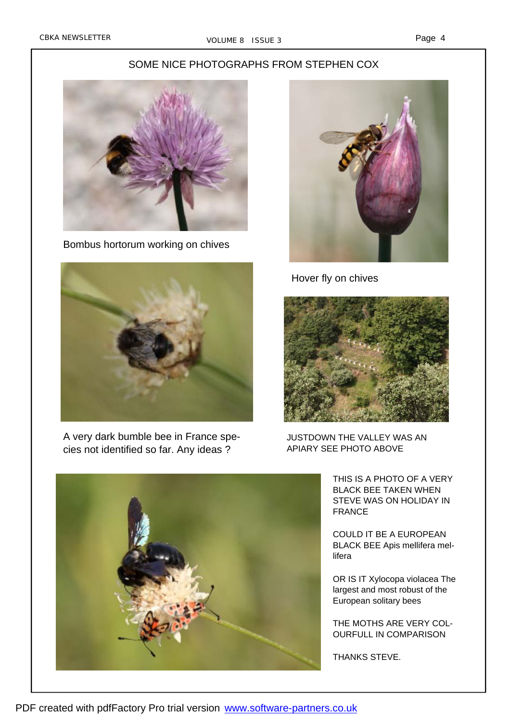Page 4

#### SOME NICE PHOTOGRAPHS FROM STEPHEN COX



Bombus hortorum working on chives



A very dark bumble bee in France species not identified so far. Any ideas ?



Hover fly on chives



JUSTDOWN THE VALLEY WAS AN APIARY SEE PHOTO ABOVE



COULD IT BE A EUROPEAN BLACK BEE Apis mellifera mellifera

OR IS IT Xylocopa violacea The largest and most robust of the European solitary bees

THE MOTHS ARE VERY COL-OURFULL IN COMPARISON

THANKS STEVE.

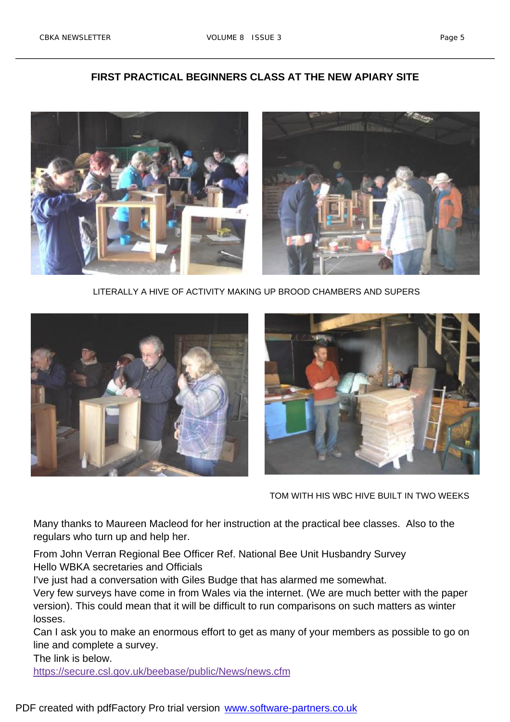#### **FIRST PRACTICAL BEGINNERS CLASS AT THE NEW APIARY SITE**



LITERALLY A HIVE OF ACTIVITY MAKING UP BROOD CHAMBERS AND SUPERS





TOM WITH HIS WBC HIVE BUILT IN TWO WEEKS

Many thanks to Maureen Macleod for her instruction at the practical bee classes. Also to the regulars who turn up and help her.

From John Verran Regional Bee Officer Ref. National Bee Unit Husbandry Survey Hello WBKA secretaries and Officials

I've just had a conversation with Giles Budge that has alarmed me somewhat.

Very few surveys have come in from Wales via the internet. (We are much better with the paper version). This could mean that it will be difficult to run comparisons on such matters as winter losses.

Can I ask you to make an enormous effort to get as many of your members as possible to go on line and complete a survey.

The link is below.

<https://secure.csl.gov.uk/beebase/public/News/news.cfm>